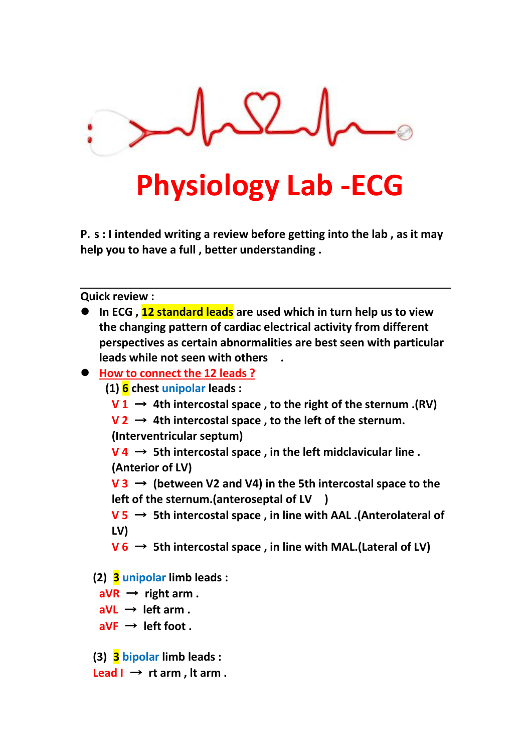

# **Physiology Lab -ECG**

**P. s : I intended writing a review before getting into the lab , as it may help you to have a full , better understanding .**

**Quick review :**

| • In ECG, 12 standard leads are used which in turn help us to view         |
|----------------------------------------------------------------------------|
| the changing pattern of cardiac electrical activity from different         |
| perspectives as certain abnormalities are best seen with particular        |
| leads while not seen with others                                           |
| ● How to connect the 12 leads ?                                            |
| $(1)$ 6 chest unipolar leads :                                             |
| $V1 \rightarrow 4$ th intercostal space, to the right of the sternum .(RV) |
| $V2 \rightarrow 4$ th intercostal space, to the left of the sternum.       |
|                                                                            |

**(Interventricular septum)**

 $V$  **4**  $\rightarrow$  5th intercostal space, in the left midclavicular line. **(Anterior of LV)**

**V 3** → **(between V2 and V4) in the 5th intercostal space to the left of the sternum.(anteroseptal of LV )**

**V 5** → **5th intercostal space , in line with AAL .(Anterolateral of LV)**

- $V_6 \rightarrow$  5th intercostal space, in line with MAL.(Lateral of LV)
- **(2) 3 unipolar limb leads :**

 $aVR \rightarrow$  **right**  $arm$  .

- $a$ VL  $\rightarrow$  **left** arm.
- $aVF \rightarrow left foot.$
- **(3) 3 bipolar limb leads :**
- $\text{Leaf I} \rightarrow \text{rt arm}$ , It  $\text{arm}$ .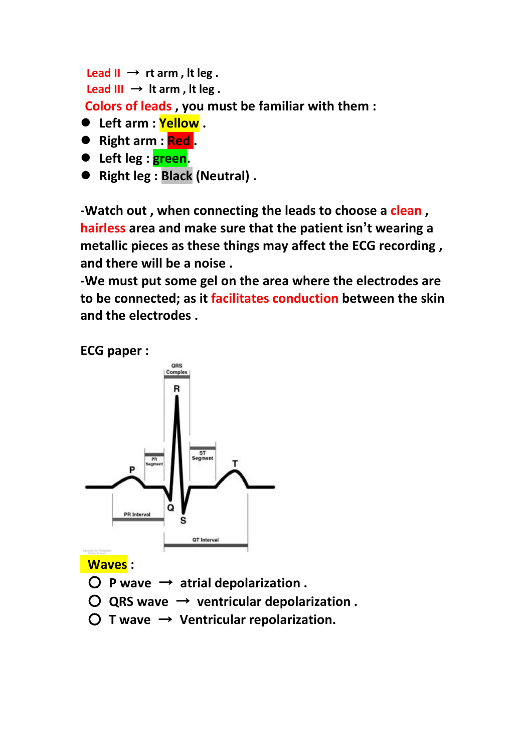```
\text{Leaf II} \rightarrow \text{rt arm}, It leg.
 \text{Leaf III} \rightarrow \text{It arm}, \text{It leg}.Colors of leads , you must be familiar with them :
 Left arm : Yellow .
```
- **Right arm : Red .**
- **Left leg : green.**
- **Right leg : Black (Neutral) .**

**-Watch out , when connecting the leads to choose a clean , hairless area and make sure that the patient isn't wearing a metallic pieces as these things may affect the ECG recording , and there will be a noise .**

**-We must put some gel on the area where the electrodes are to be connected; as it facilitates conduction between the skin and the electrodes .**

**ECG paper :**



**Waves :**

- $\bigcirc$  **P** wave  $\rightarrow$  atrial depolarization .
- $\bigcirc$  QRS wave  $\rightarrow$  ventricular depolarization.
- **T wave** → **Ventricular repolarization.**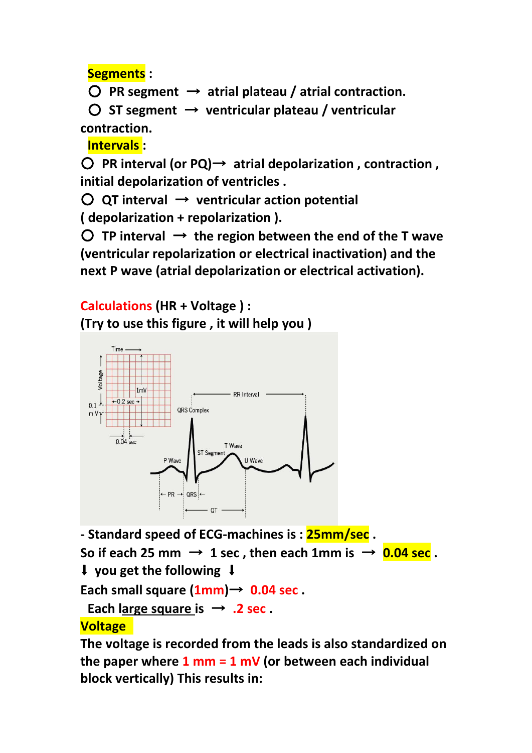**Segments :**

 $\bigcirc$  PR segment  $\rightarrow$  atrial plateau / atrial contraction.

○ **ST segment** → **ventricular plateau / ventricular contraction.**

**Intervals :**

○ **PR interval (or PQ)**→ **atrial depolarization , contraction , initial depolarization of ventricles .**

○ **QT interval** → **ventricular action potential ( depolarization +repolarization ).**

 $\bigcirc$  **TP** interval  $\rightarrow$  the region between the end of the T wave **(ventricular repolarization or electrical inactivation) and the next P wave (atrial depolarization or electrical activation).**

**Calculations (HR + Voltage ) : (Try to use this figure , it will help you )**



**- Standard speed of ECG-machines is : 25mm/sec .**

So if each 25 mm  $\rightarrow$  1 sec, then each 1mm is  $\rightarrow$  0.04 sec.

⬇ **you get the following** ⬇

**Each small square (1mm)**→ **0.04 sec .**

**Each large square is**  $\rightarrow$  **.2 sec.** 

## **Voltage**

**The voltage is recorded from the leads is also standardized on the paper where 1 mm = 1 mV (or between each individual block vertically) This results in:**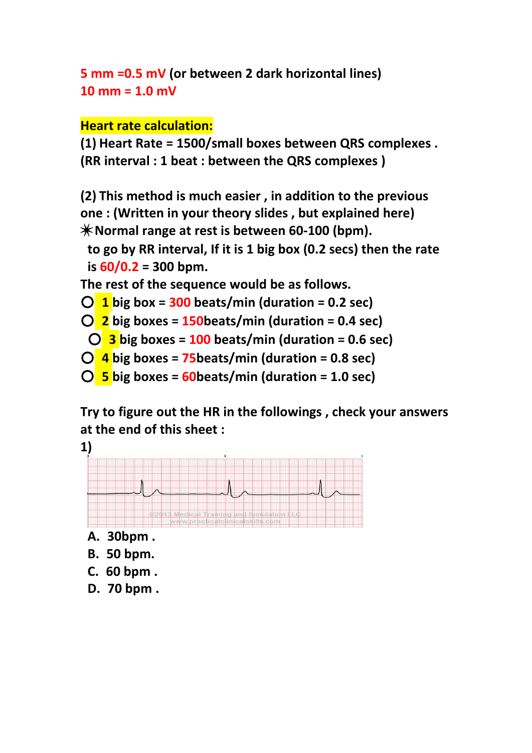```
5 mm =0.5 mV (or between 2 dark horizontal lines)
10 mm = 1.0 mV
```
## **Heart rate calculation:**

**(1) Heart Rate = 1500/small boxes between QRS complexes . (RR interval : 1 beat : between the QRS complexes )**

**(2) This method is much easier , in addition to the previous one : (Written in your theory slides , but explained here)** ✴**Normal range at rest is between 60-100 (bpm).**

**to go byRR interval, If it is 1 big box (0.2 secs) then the rate is 60/0.2 = 300 bpm.**

**The rest of the sequence would be as follows.**

```
○ 1 big box = 300 beats/min (duration = 0.2 sec)
```
○ **2 big boxes = 150beats/min (duration =0.4 sec)**

○ **3 big boxes = 100 beats/min (duration =0.6 sec)**

- **4 big boxes = 75beats/min (duration =0.8 sec)**
- **5 big boxes = 60beats/min (duration =1.0 sec)**

**Try to figure out the HR in the followings , check your answers at the end of this sheet :**

**1)**



- **A. 30bpm .**
- **B. 50 bpm.**
- **C. 60 bpm .**
- **D. 70 bpm .**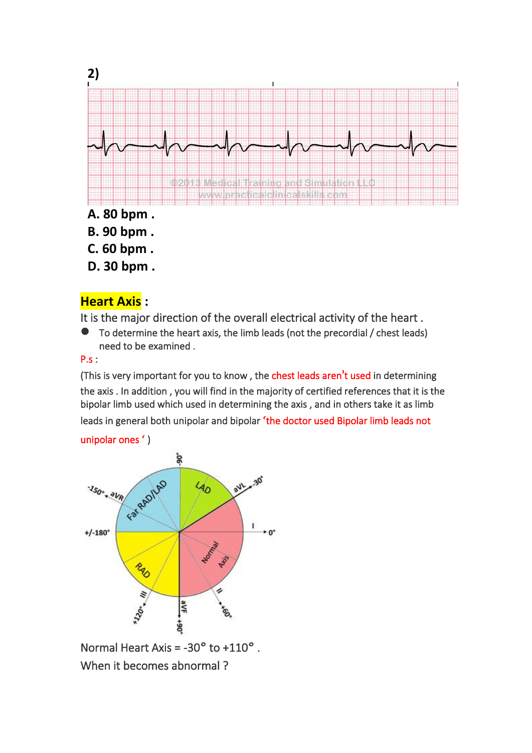

### **Heart Axis :**

It is the major direction of the overall electrical activity of the heart .

 To determine the heart axis, the limb leads (not the precordial / chest leads) need to be examined .

#### P.s :

(This is very important for you to know , the chest leads aren**'**t used in determining the axis . In addition , you will find in the majority of certified references that it is the bipolar limb used which used in determining the axis , and in others take it as limb leads in general both unipolar and bipolar 'the doctor used Bipolar limb leads not

#### unipolar ones **'** )



Normal Heart Axis = -30**°** to +110**°** . When it becomes abnormal ?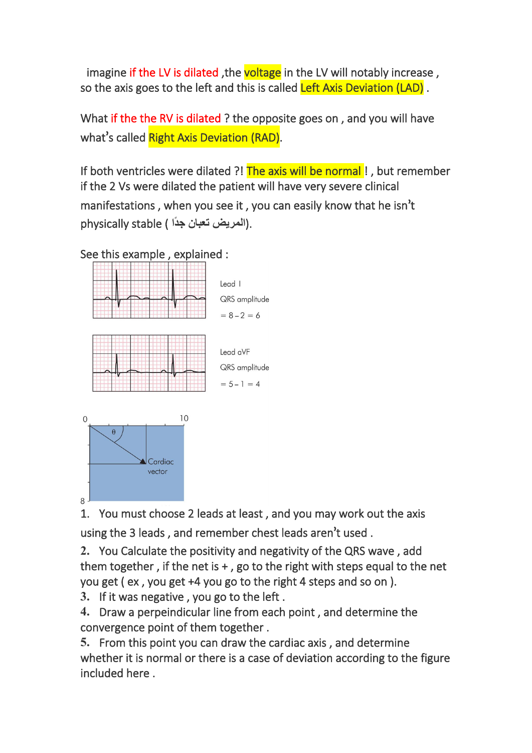imagine if the LV is dilated, the voltage in the LV will notably increase, so the axis goes to the left and this is called Left Axis Deviation (LAD).

What if the the RV is dilated ? the opposite goes on, and you will have what**'**s called Right Axis Deviation (RAD).

If both ventricles were dilated ?! The axis will be normal!, but remember if the 2 Vs were dilated the patient will have very severe clinical manifestations , when you see it , you can easily know that he isn**'**t physically stable ( المريض تعبا*ن* جدًا).

See this example , explained :



 $\mathsf{B}$ 

1. You must choose 2 leads at least, and you may work out the axis using the 3 leads , and remember chest leads aren**'**t used .

2. You Calculate the positivity and negativity of the QRS wave, add them together, if the net is  $+$ , go to the right with steps equal to the net you get  $($  ex, you get  $+4$  you go to the right 4 steps and so on  $).$ 

3. If it was negative, you go to the left.

4. Draw a perpeindicular line from each point, and determine the convergence point of them together .

 From this point you can draw the cardiac axis , and determine whether it is normal or there is a case of deviation according to the figure included here .